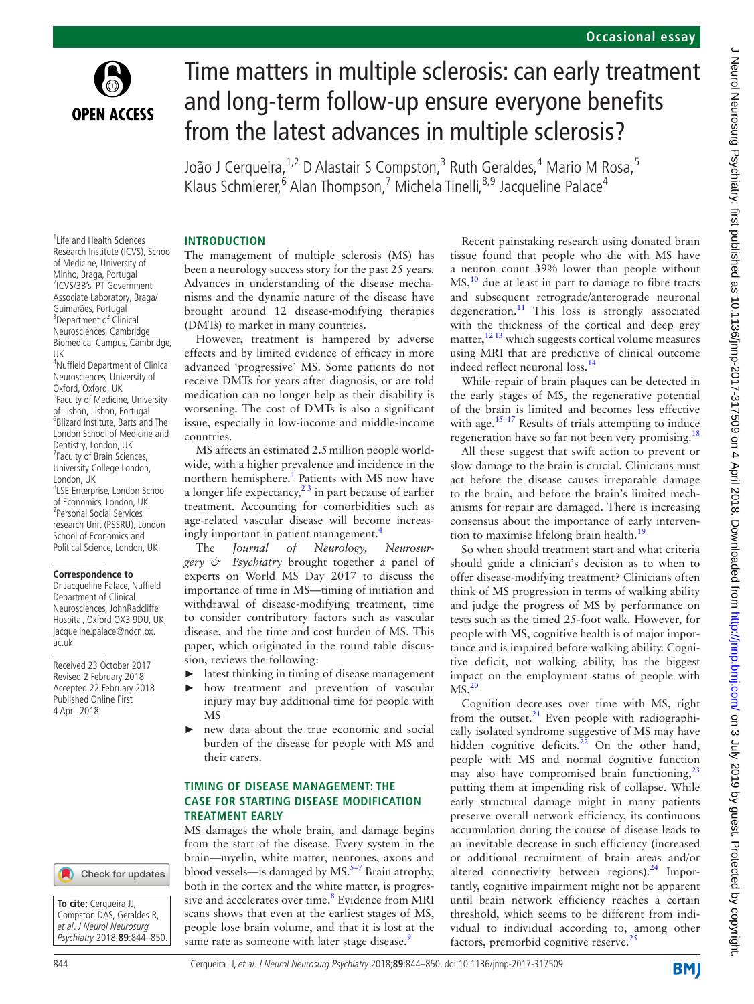

1 Life and Health Sciences Research Institute (ICVS), School of Medicine, University of Minho, Braga, Portugal 2 ICVS/3B's, PT Government Associate Laboratory, Braga/ Guimarães, Portugal <sup>3</sup>Department of Clinical Neurosciences, Cambridge Biomedical Campus, Cambridge,

UK

# Time matters in multiple sclerosis: can early treatment and long-term follow-up ensure everyone benefits from the latest advances in multiple sclerosis?

João J Cerqueira,<sup>1,2</sup> D Alastair S Compston,<sup>3</sup> Ruth Geraldes,<sup>4</sup> Mario M Rosa,<sup>5</sup> Klaus Schmierer, <sup>6</sup> Alan Thompson, <sup>7</sup> Michela Tinelli, <sup>8,9</sup> Jacqueline Palace<sup>4</sup>

# **Introduction**

The management of multiple sclerosis (MS) has been a neurology success story for the past 25 years. Advances in understanding of the disease mechanisms and the dynamic nature of the disease have brought around 12 disease-modifying therapies (DMTs) to market in many countries.

However, treatment is hampered by adverse effects and by limited evidence of efficacy in more advanced 'progressive' MS. Some patients do not receive DMTs for years after diagnosis, or are told medication can no longer help as their disability is worsening. The cost of DMTs is also a significant issue, especially in low-income and middle-income countries.

MS affects an estimated 2.5million people worldwide, with a higher prevalence and incidence in the northern hemisphere.<sup>[1](#page-4-0)</sup> Patients with MS now have a longer life expectancy,<sup>23</sup> in part because of earlier treatment. Accounting for comorbidities such as age-related vascular disease will become increas-ingly important in patient management.<sup>[4](#page-4-2)</sup>

The *Journal of Neurology, Neurosurgery & Psychiatry* brought together a panel of experts on World MS Day 2017 to discuss the importance of time in MS—timing of initiation and withdrawal of disease-modifying treatment, time to consider contributory factors such as vascular disease, and the time and cost burden of MS. This paper, which originated in the round table discussion, reviews the following:

- ► latest thinking in timing of disease management
- how treatment and prevention of vascular injury may buy additional time for people with MS
- ► new data about the true economic and social burden of the disease for people with MS and their carers.

#### **Timing of disease management: the case for starting disease modification treatment early**

MS damages the whole brain, and damage begins from the start of the disease. Every system in the brain—myelin, white matter, neurones, axons and blood vessels—is damaged by  $MS<sub>5</sub><sup>5–7</sup>$  $MS<sub>5</sub><sup>5–7</sup>$  $MS<sub>5</sub><sup>5–7</sup>$  Brain atrophy, both in the cortex and the white matter, is progressive and accelerates over time.<sup>8</sup> Evidence from MRI scans shows that even at the earliest stages of MS, people lose brain volume, and that it is lost at the same rate as someone with later stage disease.<sup>[9](#page-4-5)</sup>

Recent painstaking research using donated brain tissue found that people who die with MS have a neuron count 39% lower than people without  $MS<sub>10</sub>$  $MS<sub>10</sub>$  $MS<sub>10</sub>$  due at least in part to damage to fibre tracts and subsequent retrograde/anterograde neuronal degeneration.<sup>11</sup> This loss is strongly associated with the thickness of the cortical and deep grey matter, $1213$  which suggests cortical volume measures using MRI that are predictive of clinical outcome indeed reflect neuronal loss[.14](#page-4-9)

While repair of brain plaques can be detected in the early stages of MS, the regenerative potential of the brain is limited and becomes less effective with age. $15-17$  Results of trials attempting to induce regeneration have so far not been very promising.<sup>[18](#page-4-11)</sup>

All these suggest that swift action to prevent or slow damage to the brain is crucial. Clinicians must act before the disease causes irreparable damage to the brain, and before the brain's limited mechanisms for repair are damaged. There is increasing consensus about the importance of early interven-tion to maximise lifelong brain health.<sup>[19](#page-4-12)</sup>

So when should treatment start and what criteria should guide a clinician's decision as to when to offer disease-modifying treatment? Clinicians often think of MS progression in terms of walking ability and judge the progress of MS by performance on tests such as the timed 25-foot walk. However, for people with MS, cognitive health is of major importance and is impaired before walking ability. Cognitive deficit, not walking ability, has the biggest impact on the employment status of people with  $M\tilde{S}$ <sup>[20](#page-4-13)</sup>

Cognition decreases over time with MS, right from the outset. $^{21}$  $^{21}$  $^{21}$  Even people with radiographically isolated syndrome suggestive of MS may have hidden cognitive deficits.<sup>22</sup> On the other hand, people with MS and normal cognitive function may also have compromised brain functioning,  $23$ putting them at impending risk of collapse. While early structural damage might in many patients preserve overall network efficiency, its continuous accumulation during the course of disease leads to an inevitable decrease in such efficiency (increased or additional recruitment of brain areas and/or altered connectivity between regions). $24$  Importantly, cognitive impairment might not be apparent until brain network efficiency reaches a certain threshold, which seems to be different from individual to individual according to, among other factors, premorbid cognitive reserve[.25](#page-5-1)

Oxford, Oxford, UK 5 Faculty of Medicine, University

of Lisbon, Lisbon, Portugal 6 Blizard Institute, Barts and The London School of Medicine and Dentistry, London, UK <sup>7</sup> Faculty of Brain Sciences, University College London, London, UK 8 LSE Enterprise, London School of Economics, London, UK 9 Personal Social Services research Unit (PSSRU), London School of Economics and Political Science, London, UK

4 Nuffield Department of Clinical Neurosciences, University of

#### **Correspondence to**

Dr Jacqueline Palace, Nuffield Department of Clinical Neurosciences, JohnRadcliffe Hospital, Oxford OX3 9DU, UK; jacqueline.palace@ndcn.ox. ac.uk

Received 23 October 2017 Revised 2 February 2018 Accepted 22 February 2018 Published Online First 4 April 2018



**To cite:** Cerqueira JJ, Compston DAS, Geraldes R, et al. J Neurol Neurosurg Psychiatry 2018;**89**:844–850.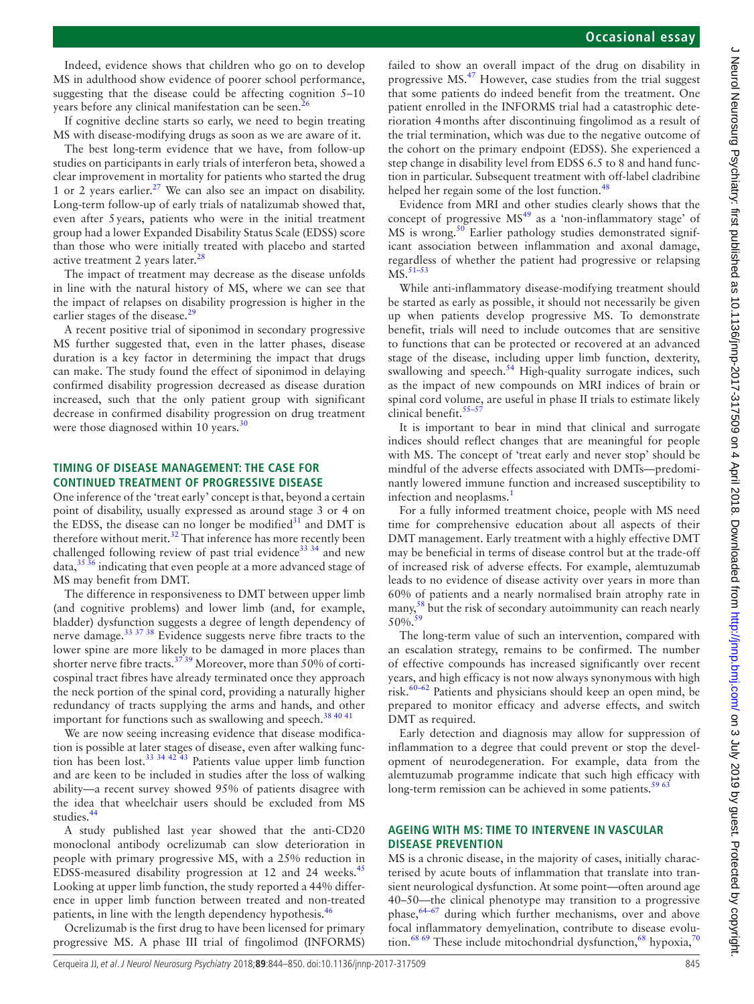Indeed, evidence shows that children who go on to develop MS in adulthood show evidence of poorer school performance, suggesting that the disease could be affecting cognition 5–10 years before any clinical manifestation can be seen.<sup>2</sup>

If cognitive decline starts so early, we need to begin treating MS with disease-modifying drugs as soon as we are aware of it.

The best long-term evidence that we have, from follow-up studies on participants in early trials of interferon beta, showed a clear improvement in mortality for patients who started the drug 1 or 2 years earlier.<sup>[27](#page-5-3)</sup> We can also see an impact on disability. Long-term follow-up of early trials of natalizumab showed that, even after 5years, patients who were in the initial treatment group had a lower Expanded Disability Status Scale (EDSS) score than those who were initially treated with placebo and started active treatment 2 years later.<sup>[28](#page-5-4)</sup>

The impact of treatment may decrease as the disease unfolds in line with the natural history of MS, where we can see that the impact of relapses on disability progression is higher in the earlier stages of the disease.<sup>29</sup>

A recent positive trial of siponimod in secondary progressive MS further suggested that, even in the latter phases, disease duration is a key factor in determining the impact that drugs can make. The study found the effect of siponimod in delaying confirmed disability progression decreased as disease duration increased, such that the only patient group with significant decrease in confirmed disability progression on drug treatment were those diagnosed within 10 years.<sup>[30](#page-5-6)</sup>

#### **Timing of disease management: the case for continued treatment of progressive disease**

One inference of the 'treat early' concept is that, beyond a certain point of disability, usually expressed as around stage 3 or 4 on the EDSS, the disease can no longer be modified $31$  and DMT is therefore without merit.<sup>[32](#page-5-8)</sup> That inference has more recently been challenged following review of past trial evidence<sup>[33 34](#page-5-9)</sup> and new  $data$ ,  $35\frac{36}{36}$  indicating that even people at a more advanced stage of MS may benefit from DMT.

The difference in responsiveness to DMT between upper limb (and cognitive problems) and lower limb (and, for example, bladder) dysfunction suggests a degree of length dependency of nerve damage.[33 37 38](#page-5-9) Evidence suggests nerve fibre tracts to the lower spine are more likely to be damaged in more places than shorter nerve fibre tracts.<sup>37'39</sup> Moreover, more than  $50\%$  of corticospinal tract fibres have already terminated once they approach the neck portion of the spinal cord, providing a naturally higher redundancy of tracts supplying the arms and hands, and other important for functions such as swallowing and speech. $38\frac{40\frac{41}{2}}{20}$ 

We are now seeing increasing evidence that disease modification is possible at later stages of disease, even after walking func-tion has been lost.<sup>[33 34 42 43](#page-5-9)</sup> Patients value upper limb function and are keen to be included in studies after the loss of walking ability—a recent survey showed 95% of patients disagree with the idea that wheelchair users should be excluded from MS studies.<sup>4</sup>

A study published last year showed that the anti-CD20 monoclonal antibody ocrelizumab can slow deterioration in people with primary progressive MS, with a 25% reduction in EDSS-measured disability progression at 12 and 24 weeks.<sup>[45](#page-5-14)</sup> Looking at upper limb function, the study reported a 44% difference in upper limb function between treated and non-treated patients, in line with the length dependency hypothesis.<sup>[46](#page-5-15)</sup>

Ocrelizumab is the first drug to have been licensed for primary progressive MS. A phase III trial of fingolimod (INFORMS)

failed to show an overall impact of the drug on disability in progressive MS.<sup>47</sup> However, case studies from the trial suggest that some patients do indeed benefit from the treatment. One patient enrolled in the INFORMS trial had a catastrophic deterioration 4months after discontinuing fingolimod as a result of the trial termination, which was due to the negative outcome of the cohort on the primary endpoint (EDSS). She experienced a step change in disability level from EDSS 6.5 to 8 and hand function in particular. Subsequent treatment with off-label cladribine helped her regain some of the lost function.<sup>48</sup>

Evidence from MRI and other studies clearly shows that the concept of progressive  $MS<sup>49</sup>$  as a 'non-inflammatory stage' of MS is wrong.<sup>[50](#page-5-19)</sup> Earlier pathology studies demonstrated significant association between inflammation and axonal damage, regardless of whether the patient had progressive or relapsing  $\overline{MS}$ .  $51-53$ 

While anti-inflammatory disease-modifying treatment should be started as early as possible, it should not necessarily be given up when patients develop progressive MS. To demonstrate benefit, trials will need to include outcomes that are sensitive to functions that can be protected or recovered at an advanced stage of the disease, including upper limb function, dexterity, swallowing and speech. $54$  High-quality surrogate indices, such as the impact of new compounds on MRI indices of brain or spinal cord volume, are useful in phase II trials to estimate likely clinical benefit.<sup>55-57</sup>

It is important to bear in mind that clinical and surrogate indices should reflect changes that are meaningful for people with MS. The concept of 'treat early and never stop' should be mindful of the adverse effects associated with DMTs—predominantly lowered immune function and increased susceptibility to infection and neoplasms.<sup>[1](#page-4-0)</sup>

For a fully informed treatment choice, people with MS need time for comprehensive education about all aspects of their DMT management. Early treatment with a highly effective DMT may be beneficial in terms of disease control but at the trade-off of increased risk of adverse effects. For example, alemtuzumab leads to no evidence of disease activity over years in more than 60% of patients and a nearly normalised brain atrophy rate in many,<sup>58</sup> but the risk of secondary autoimmunity can reach nearly  $50\%$ .  $59$ 

The long-term value of such an intervention, compared with an escalation strategy, remains to be confirmed. The number of effective compounds has increased significantly over recent years, and high efficacy is not now always synonymous with high risk[.60–62](#page-5-25) Patients and physicians should keep an open mind, be prepared to monitor efficacy and adverse effects, and switch DMT as required.

Early detection and diagnosis may allow for suppression of inflammation to a degree that could prevent or stop the development of neurodegeneration. For example, data from the alemtuzumab programme indicate that such high efficacy with long-term remission can be achieved in some patients.<sup>596</sup>

#### **Ageing with MS: time to intervene in vascular disease prevention**

MS is a chronic disease, in the majority of cases, initially characterised by acute bouts of inflammation that translate into transient neurological dysfunction. At some point—often around age 40–50—the clinical phenotype may transition to a progressive phase,<sup>[64–67](#page-5-26)</sup> during which further mechanisms, over and above focal inflammatory demyelination, contribute to disease evolu-tion.<sup>[68](#page-5-27) 69</sup> These include mitochondrial dysfunction,<sup>68</sup> hypoxia,<sup>[70](#page-5-28)</sup>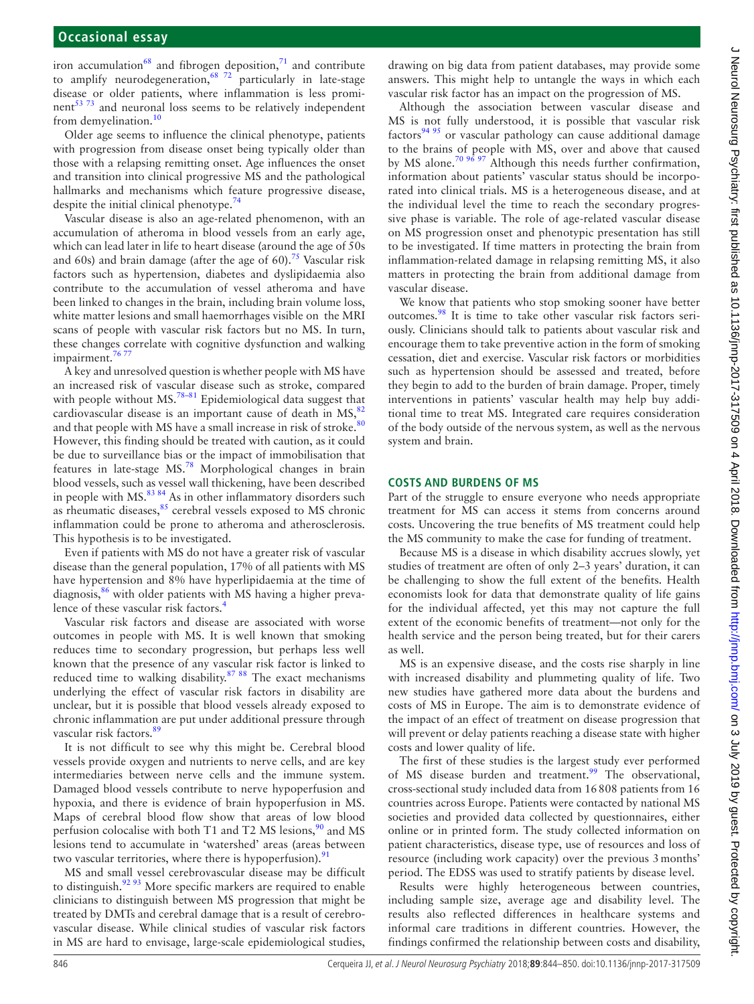iron accumulation<sup>68</sup> and fibrogen deposition,<sup>[71](#page-5-29)</sup> and contribute to amplify neurodegeneration,  $68$ <sup>72</sup> particularly in late-stage disease or older patients, where inflammation is less prominent<sup>53 73</sup> and neuronal loss seems to be relatively independent from demyelination.<sup>[10](#page-4-6)</sup>

Older age seems to influence the clinical phenotype, patients with progression from disease onset being typically older than those with a relapsing remitting onset. Age influences the onset and transition into clinical progressive MS and the pathological hallmarks and mechanisms which feature progressive disease, despite the initial clinical phenotype.<sup>[74](#page-5-31)</sup>

Vascular disease is also an age-related phenomenon, with an accumulation of atheroma in blood vessels from an early age, which can lead later in life to heart disease (around the age of 50s and 60s) and brain damage (after the age of 60).<sup>75</sup> Vascular risk factors such as hypertension, diabetes and dyslipidaemia also contribute to the accumulation of vessel atheroma and have been linked to changes in the brain, including brain volume loss, white matter lesions and small haemorrhages visible on the MRI scans of people with vascular risk factors but no MS. In turn, these changes correlate with cognitive dysfunction and walking impairment.<sup>76</sup><sup>77</sup>

A key and unresolved question is whether people with MS have an increased risk of vascular disease such as stroke, compared with people without MS.<sup>78-81</sup> Epidemiological data suggest that cardiovascular disease is an important cause of death in  $MS$ , $82$ and that people with MS have a small increase in risk of stroke.  $80$ However, this finding should be treated with caution, as it could be due to surveillance bias or the impact of immobilisation that features in late-stage MS.[78](#page-5-34) Morphological changes in brain blood vessels, such as vessel wall thickening, have been described in people with  $MS$ .<sup>83 84</sup> As in other inflammatory disorders such as rheumatic diseases, $85$  cerebral vessels exposed to MS chronic inflammation could be prone to atheroma and atherosclerosis. This hypothesis is to be investigated.

Even if patients with MS do not have a greater risk of vascular disease than the general population, 17% of all patients with MS have hypertension and 8% have hyperlipidaemia at the time of diagnosis,<sup>[86](#page-5-39)</sup> with older patients with MS having a higher preva-lence of these vascular risk factors.<sup>[4](#page-4-2)</sup>

Vascular risk factors and disease are associated with worse outcomes in people with MS. It is well known that smoking reduces time to secondary progression, but perhaps less well known that the presence of any vascular risk factor is linked to reduced time to walking disability.<sup>87 88</sup> The exact mechanisms underlying the effect of vascular risk factors in disability are unclear, but it is possible that blood vessels already exposed to chronic inflammation are put under additional pressure through vascular risk factors.<sup>[89](#page-6-0)</sup>

It is not difficult to see why this might be. Cerebral blood vessels provide oxygen and nutrients to nerve cells, and are key intermediaries between nerve cells and the immune system. Damaged blood vessels contribute to nerve hypoperfusion and hypoxia, and there is evidence of brain hypoperfusion in MS. Maps of cerebral blood flow show that areas of low blood perfusion colocalise with both T1 and T2 MS lesions,  $90^\circ$  and MS lesions tend to accumulate in 'watershed' areas (areas between two vascular territories, where there is hypoperfusion).<sup>[91](#page-6-2)</sup>

MS and small vessel cerebrovascular disease may be difficult to distinguish. $92\frac{93}{2}$  More specific markers are required to enable clinicians to distinguish between MS progression that might be treated by DMTs and cerebral damage that is a result of cerebrovascular disease. While clinical studies of vascular risk factors in MS are hard to envisage, large-scale epidemiological studies,

drawing on big data from patient databases, may provide some answers. This might help to untangle the ways in which each vascular risk factor has an impact on the progression of MS.

Although the association between vascular disease and MS is not fully understood, it is possible that vascular risk factors $94\frac{95}{5}$  or vascular pathology can cause additional damage to the brains of people with MS, over and above that caused by MS alone.<sup>[70 96 97](#page-5-28)</sup> Although this needs further confirmation, information about patients' vascular status should be incorporated into clinical trials. MS is a heterogeneous disease, and at the individual level the time to reach the secondary progressive phase is variable. The role of age-related vascular disease on MS progression onset and phenotypic presentation has still to be investigated. If time matters in protecting the brain from inflammation-related damage in relapsing remitting MS, it also matters in protecting the brain from additional damage from vascular disease.

We know that patients who stop smoking sooner have better outcomes[.98](#page-6-5) It is time to take other vascular risk factors seriously. Clinicians should talk to patients about vascular risk and encourage them to take preventive action in the form of smoking cessation, diet and exercise. Vascular risk factors or morbidities such as hypertension should be assessed and treated, before they begin to add to the burden of brain damage. Proper, timely interventions in patients' vascular health may help buy additional time to treat MS. Integrated care requires consideration of the body outside of the nervous system, as well as the nervous system and brain.

### **Costs and burdens of MS**

Part of the struggle to ensure everyone who needs appropriate treatment for MS can access it stems from concerns around costs. Uncovering the true benefits of MS treatment could help the MS community to make the case for funding of treatment.

Because MS is a disease in which disability accrues slowly, yet studies of treatment are often of only 2–3 years' duration, it can be challenging to show the full extent of the benefits. Health economists look for data that demonstrate quality of life gains for the individual affected, yet this may not capture the full extent of the economic benefits of treatment—not only for the health service and the person being treated, but for their carers as well.

MS is an expensive disease, and the costs rise sharply in line with increased disability and plummeting quality of life. Two new studies have gathered more data about the burdens and costs of MS in Europe. The aim is to demonstrate evidence of the impact of an effect of treatment on disease progression that will prevent or delay patients reaching a disease state with higher costs and lower quality of life.

The first of these studies is the largest study ever performed of MS disease burden and treatment.<sup>[99](#page-6-6)</sup> The observational, cross-sectional study included data from 16808 patients from 16 countries across Europe. Patients were contacted by national MS societies and provided data collected by questionnaires, either online or in printed form. The study collected information on patient characteristics, disease type, use of resources and loss of resource (including work capacity) over the previous 3months' period. The EDSS was used to stratify patients by disease level.

Results were highly heterogeneous between countries, including sample size, average age and disability level. The results also reflected differences in healthcare systems and informal care traditions in different countries. However, the findings confirmed the relationship between costs and disability,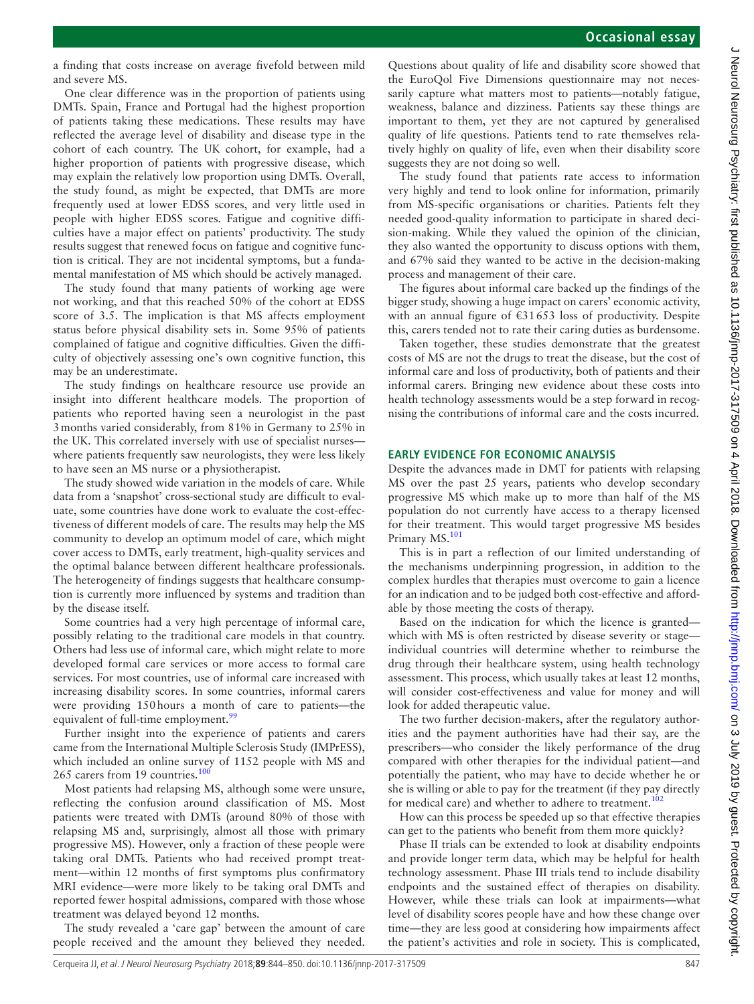a finding that costs increase on average fivefold between mild and severe MS.

One clear difference was in the proportion of patients using DMTs. Spain, France and Portugal had the highest proportion of patients taking these medications. These results may have reflected the average level of disability and disease type in the cohort of each country. The UK cohort, for example, had a higher proportion of patients with progressive disease, which may explain the relatively low proportion using DMTs. Overall, the study found, as might be expected, that DMTs are more frequently used at lower EDSS scores, and very little used in people with higher EDSS scores. Fatigue and cognitive difficulties have a major effect on patients' productivity. The study results suggest that renewed focus on fatigue and cognitive function is critical. They are not incidental symptoms, but a fundamental manifestation of MS which should be actively managed.

The study found that many patients of working age were not working, and that this reached 50% of the cohort at EDSS score of 3.5. The implication is that MS affects employment status before physical disability sets in. Some 95% of patients complained of fatigue and cognitive difficulties. Given the difficulty of objectively assessing one's own cognitive function, this may be an underestimate.

The study findings on healthcare resource use provide an insight into different healthcare models. The proportion of patients who reported having seen a neurologist in the past 3months varied considerably, from 81% in Germany to 25% in the UK. This correlated inversely with use of specialist nurses where patients frequently saw neurologists, they were less likely to have seen an MS nurse or a physiotherapist.

The study showed wide variation in the models of care. While data from a 'snapshot' cross-sectional study are difficult to evaluate, some countries have done work to evaluate the cost-effectiveness of different models of care. The results may help the MS community to develop an optimum model of care, which might cover access to DMTs, early treatment, high-quality services and the optimal balance between different healthcare professionals. The heterogeneity of findings suggests that healthcare consumption is currently more influenced by systems and tradition than by the disease itself.

Some countries had a very high percentage of informal care, possibly relating to the traditional care models in that country. Others had less use of informal care, which might relate to more developed formal care services or more access to formal care services. For most countries, use of informal care increased with increasing disability scores. In some countries, informal carers were providing 150hours a month of care to patients—the equivalent of full-time employment.<sup>[99](#page-6-6)</sup>

Further insight into the experience of patients and carers came from the International Multiple Sclerosis Study (IMPrESS), which included an online survey of 1152 people with MS and 265 carers from 19 countries.<sup>[100](#page-6-7)</sup>

Most patients had relapsing MS, although some were unsure, reflecting the confusion around classification of MS. Most patients were treated with DMTs (around 80% of those with relapsing MS and, surprisingly, almost all those with primary progressive MS). However, only a fraction of these people were taking oral DMTs. Patients who had received prompt treatment—within 12 months of first symptoms plus confirmatory MRI evidence—were more likely to be taking oral DMTs and reported fewer hospital admissions, compared with those whose treatment was delayed beyond 12 months.

The study revealed a 'care gap' between the amount of care people received and the amount they believed they needed.

Questions about quality of life and disability score showed that the EuroQol Five Dimensions questionnaire may not necessarily capture what matters most to patients—notably fatigue, weakness, balance and dizziness. Patients say these things are important to them, yet they are not captured by generalised quality of life questions. Patients tend to rate themselves relatively highly on quality of life, even when their disability score suggests they are not doing so well.

The study found that patients rate access to information very highly and tend to look online for information, primarily from MS-specific organisations or charities. Patients felt they needed good-quality information to participate in shared decision-making. While they valued the opinion of the clinician, they also wanted the opportunity to discuss options with them, and 67% said they wanted to be active in the decision-making process and management of their care.

The figures about informal care backed up the findings of the bigger study, showing a huge impact on carers' economic activity, with an annual figure of €31653 loss of productivity. Despite this, carers tended not to rate their caring duties as burdensome.

Taken together, these studies demonstrate that the greatest costs of MS are not the drugs to treat the disease, but the cost of informal care and loss of productivity, both of patients and their informal carers. Bringing new evidence about these costs into health technology assessments would be a step forward in recognising the contributions of informal care and the costs incurred.

# **Early evidence for economic analysis**

Despite the advances made in DMT for patients with relapsing MS over the past 25 years, patients who develop secondary progressive MS which make up to more than half of the MS population do not currently have access to a therapy licensed for their treatment. This would target progressive MS besides Primary MS.<sup>101</sup>

This is in part a reflection of our limited understanding of the mechanisms underpinning progression, in addition to the complex hurdles that therapies must overcome to gain a licence for an indication and to be judged both cost-effective and affordable by those meeting the costs of therapy.

Based on the indication for which the licence is granted which with MS is often restricted by disease severity or stage individual countries will determine whether to reimburse the drug through their healthcare system, using health technology assessment. This process, which usually takes at least 12 months, will consider cost-effectiveness and value for money and will look for added therapeutic value.

The two further decision-makers, after the regulatory authorities and the payment authorities have had their say, are the prescribers—who consider the likely performance of the drug compared with other therapies for the individual patient—and potentially the patient, who may have to decide whether he or she is willing or able to pay for the treatment (if they pay directly for medical care) and whether to adhere to treatment.<sup>[102](#page-6-9)</sup>

How can this process be speeded up so that effective therapies can get to the patients who benefit from them more quickly?

Phase II trials can be extended to look at disability endpoints and provide longer term data, which may be helpful for health technology assessment. Phase III trials tend to include disability endpoints and the sustained effect of therapies on disability. However, while these trials can look at impairments—what level of disability scores people have and how these change over time—they are less good at considering how impairments affect the patient's activities and role in society. This is complicated,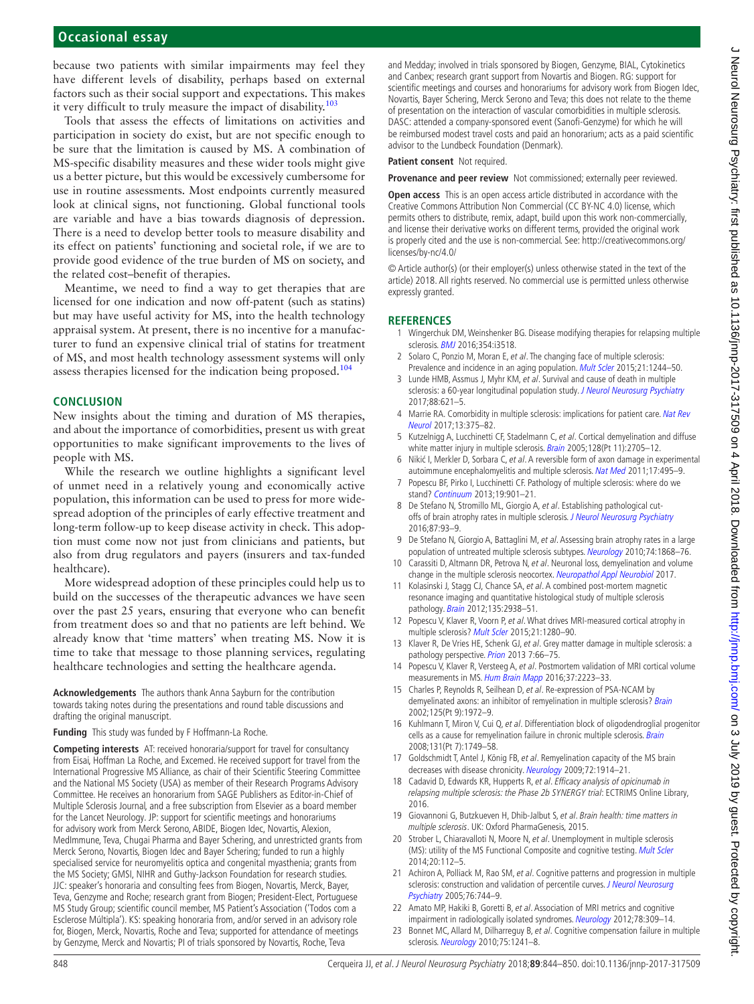because two patients with similar impairments may feel they have different levels of disability, perhaps based on external factors such as their social support and expectations. This makes it very difficult to truly measure the impact of disability.<sup>103</sup>

Tools that assess the effects of limitations on activities and participation in society do exist, but are not specific enough to be sure that the limitation is caused by MS. A combination of MS-specific disability measures and these wider tools might give us a better picture, but this would be excessively cumbersome for use in routine assessments. Most endpoints currently measured look at clinical signs, not functioning. Global functional tools are variable and have a bias towards diagnosis of depression. There is a need to develop better tools to measure disability and its effect on patients' functioning and societal role, if we are to provide good evidence of the true burden of MS on society, and the related cost–benefit of therapies.

Meantime, we need to find a way to get therapies that are licensed for one indication and now off-patent (such as statins) but may have useful activity for MS, into the health technology appraisal system. At present, there is no incentive for a manufacturer to fund an expensive clinical trial of statins for treatment of MS, and most health technology assessment systems will only assess therapies licensed for the indication being proposed.<sup>104</sup>

### **Conclusion**

New insights about the timing and duration of MS therapies, and about the importance of comorbidities, present us with great opportunities to make significant improvements to the lives of people with MS.

While the research we outline highlights a significant level of unmet need in a relatively young and economically active population, this information can be used to press for more widespread adoption of the principles of early effective treatment and long-term follow-up to keep disease activity in check. This adoption must come now not just from clinicians and patients, but also from drug regulators and payers (insurers and tax-funded healthcare).

More widespread adoption of these principles could help us to build on the successes of the therapeutic advances we have seen over the past 25 years, ensuring that everyone who can benefit from treatment does so and that no patients are left behind. We already know that 'time matters' when treating MS. Now it is time to take that message to those planning services, regulating healthcare technologies and setting the healthcare agenda.

**Acknowledgements** The authors thank Anna Sayburn for the contribution towards taking notes during the presentations and round table discussions and drafting the original manuscript.

**Funding** This study was funded by F Hoffmann-La Roche.

**Competing interests** AT: received honoraria/support for travel for consultancy from Eisai, Hoffman La Roche, and Excemed. He received support for travel from the International Progressive MS Alliance, as chair of their Scientific Steering Committee and the National MS Society (USA) as member of their Research Programs Advisory Committee. He receives an honorarium from SAGE Publishers as Editor-in-Chief of Multiple Sclerosis Journal, and a free subscription from Elsevier as a board member for the Lancet Neurology. JP: support for scientific meetings and honorariums for advisory work from Merck Serono, ABIDE, Biogen Idec, Novartis, Alexion, MedImmune, Teva, Chugai Pharma and Bayer Schering, and unrestricted grants from Merck Serono, Novartis, Biogen Idec and Bayer Schering; funded to run a highly specialised service for neuromyelitis optica and congenital myasthenia; grants from the MS Society; GMSI, NIHR and Guthy-Jackson Foundation for research studies. JJC: speaker's honoraria and consulting fees from Biogen, Novartis, Merck, Bayer, Teva, Genzyme and Roche; research grant from Biogen; President-Elect, Portuguese MS Study Group; scientific council member, MS Patient's Association ('Todos com a Esclerose Múltipla'). KS: speaking honoraria from, and/or served in an advisory role for, Biogen, Merck, Novartis, Roche and Teva; supported for attendance of meetings by Genzyme, Merck and Novartis; PI of trials sponsored by Novartis, Roche, Teva

and Medday; involved in trials sponsored by Biogen, Genzyme, BIAL, Cytokinetics and Canbex; research grant support from Novartis and Biogen. RG: support for scientific meetings and courses and honorariums for advisory work from Biogen Idec, Novartis, Bayer Schering, Merck Serono and Teva; this does not relate to the theme of presentation on the interaction of vascular comorbidities in multiple sclerosis. DASC: attended a company-sponsored event (Sanofi-Genzyme) for which he will be reimbursed modest travel costs and paid an honorarium; acts as a paid scientific advisor to the Lundbeck Foundation (Denmark).

**Patient consent** Not required.

**Provenance and peer review** Not commissioned; externally peer reviewed.

**Open access** This is an open access article distributed in accordance with the Creative Commons Attribution Non Commercial (CC BY-NC 4.0) license, which permits others to distribute, remix, adapt, build upon this work non-commercially, and license their derivative works on different terms, provided the original work is properly cited and the use is non-commercial. See: [http://creativecommons.org/](http://creativecommons.org/licenses/by-nc/4.0/) [licenses/by-nc/4.0/](http://creativecommons.org/licenses/by-nc/4.0/)

© Article author(s) (or their employer(s) unless otherwise stated in the text of the article) 2018. All rights reserved. No commercial use is permitted unless otherwise expressly granted.

# **References**

- <span id="page-4-0"></span>1 Wingerchuk DM, Weinshenker BG. Disease modifying therapies for relapsing multiple sclerosis. [BMJ](http://dx.doi.org/10.1136/bmj.i3518) 2016;354:i3518.
- <span id="page-4-1"></span>2 Solaro C, Ponzio M, Moran E, et al. The changing face of multiple sclerosis: Prevalence and incidence in an aging population. [Mult Scler](http://dx.doi.org/10.1177/1352458514561904) 2015;21:1244-50.
- 3 Lunde HMB, Assmus J, Myhr KM, et al. Survival and cause of death in multiple sclerosis: a 60-year longitudinal population study. [J Neurol Neurosurg Psychiatry](http://dx.doi.org/10.1136/jnnp-2016-315238) 2017;88:621–5.
- <span id="page-4-2"></span>4 Marrie RA. Comorbidity in multiple sclerosis: implications for patient care. Nat Rev [Neurol](http://dx.doi.org/10.1038/nrneurol.2017.33) 2017;13:375–82.
- <span id="page-4-3"></span>5 Kutzelnigg A, Lucchinetti CF, Stadelmann C, et al. Cortical demyelination and diffuse white matter injury in multiple sclerosis. [Brain](http://dx.doi.org/10.1093/brain/awh641) 2005;128(Pt 11):2705-12.
- 6 Nikić I, Merkler D, Sorbara C, et al. A reversible form of axon damage in experimental autoimmune encephalomyelitis and multiple sclerosis. [Nat Med](http://dx.doi.org/10.1038/nm.2324) 2011;17:495-9.
- 7 Popescu BF, Pirko I, Lucchinetti CF. Pathology of multiple sclerosis: where do we stand? [Continuum](http://dx.doi.org/10.1212/01.CON.0000433291.23091.65) 2013;19:901–21.
- <span id="page-4-4"></span>De Stefano N, Stromillo ML, Giorgio A, et al. Establishing pathological cut-offs of brain atrophy rates in multiple sclerosis. [J Neurol Neurosurg Psychiatry](http://dx.doi.org/10.1136/jnnp-2014-309903) 2016;87:93–9.
- <span id="page-4-5"></span>9 De Stefano N, Giorgio A, Battaglini M, et al. Assessing brain atrophy rates in a large population of untreated multiple sclerosis subtypes. [Neurology](http://dx.doi.org/10.1212/WNL.0b013e3181e24136) 2010;74:1868-76.
- <span id="page-4-6"></span>10 Carassiti D, Altmann DR, Petrova N, et al. Neuronal loss, demyelination and volume change in the multiple sclerosis neocortex. [Neuropathol Appl Neurobiol](http://dx.doi.org/10.1111/nan.12405) 2017.
- <span id="page-4-7"></span>11 Kolasinski J, Stagg CJ, Chance SA, et al. A combined post-mortem magnetic resonance imaging and quantitative histological study of multiple sclerosis pathology. **[Brain](http://dx.doi.org/10.1093/brain/aws242)** 2012;135:2938-51.
- <span id="page-4-8"></span>12 Popescu V, Klaver R, Voorn P, et al. What drives MRI-measured cortical atrophy in multiple sclerosis? [Mult Scler](http://dx.doi.org/10.1177/1352458514562440) 2015;21:1280–90.
- 13 Klaver R, De Vries HE, Schenk GJ, et al. Grey matter damage in multiple sclerosis: a pathology perspective. [Prion](http://dx.doi.org/10.4161/pri.23499) 2013 7:66-75.
- <span id="page-4-9"></span>14 Popescu V, Klaver R, Versteeg A, et al. Postmortem validation of MRI cortical volume measurements in MS. [Hum Brain Mapp](http://dx.doi.org/10.1002/hbm.23168) 2016;37:2223-33.
- <span id="page-4-10"></span>15 Charles P, Reynolds R, Seilhean D, et al. Re-expression of PSA-NCAM by demyelinated axons: an inhibitor of remyelination in multiple sclerosis? [Brain](http://dx.doi.org/10.1093/brain/awf216) 2002;125(Pt 9):1972–9.
- 16 Kuhlmann T, Miron V, Cui Q, et al. Differentiation block of oligodendroglial progenitor cells as a cause for remyelination failure in chronic multiple sclerosis. [Brain](http://dx.doi.org/10.1093/brain/awn096) 2008;131(Pt 7):1749–58.
- 17 Goldschmidt T, Antel J, König FB, et al. Remyelination capacity of the MS brain decreases with disease chronicity. [Neurology](http://dx.doi.org/10.1212/WNL.0b013e3181a8260a) 2009;72:1914–21.
- <span id="page-4-11"></span>18 Cadavid D, Edwards KR, Hupperts R, et al. Efficacy analysis of opicinumab in relapsing multiple sclerosis: the Phase 2b SYNERGY trial: ECTRIMS Online Library, 2016.
- <span id="page-4-12"></span>19 Giovannoni G, Butzkueven H, Dhib-Jalbut S, et al. Brain health: time matters in multiple sclerosis. UK: Oxford PharmaGenesis, 2015.
- <span id="page-4-13"></span>20 Strober L, Chiaravalloti N, Moore N, et al. Unemployment in multiple sclerosis (MS): utility of the MS Functional Composite and cognitive testing. [Mult Scler](http://dx.doi.org/10.1177/1352458513488235) 2014;20:112–5.
- <span id="page-4-14"></span>21 Achiron A, Polliack M, Rao SM, et al. Cognitive patterns and progression in multiple sclerosis: construction and validation of percentile curves. J Neurol Neurosurg [Psychiatry](http://dx.doi.org/10.1136/jnnp.2004.045518) 2005;76:744–9.
- <span id="page-4-15"></span>22 Amato MP, Hakiki B, Goretti B, et al. Association of MRI metrics and cognitive impairment in radiologically isolated syndromes. [Neurology](http://dx.doi.org/10.1212/WNL.0b013e31824528c9) 2012;78:309-14.
- <span id="page-4-16"></span>23 Bonnet MC, Allard M, Dilharreguy B, et al. Cognitive compensation failure in multiple sclerosis. [Neurology](http://dx.doi.org/10.1212/WNL.0b013e3181f612e3) 2010;75:1241-8.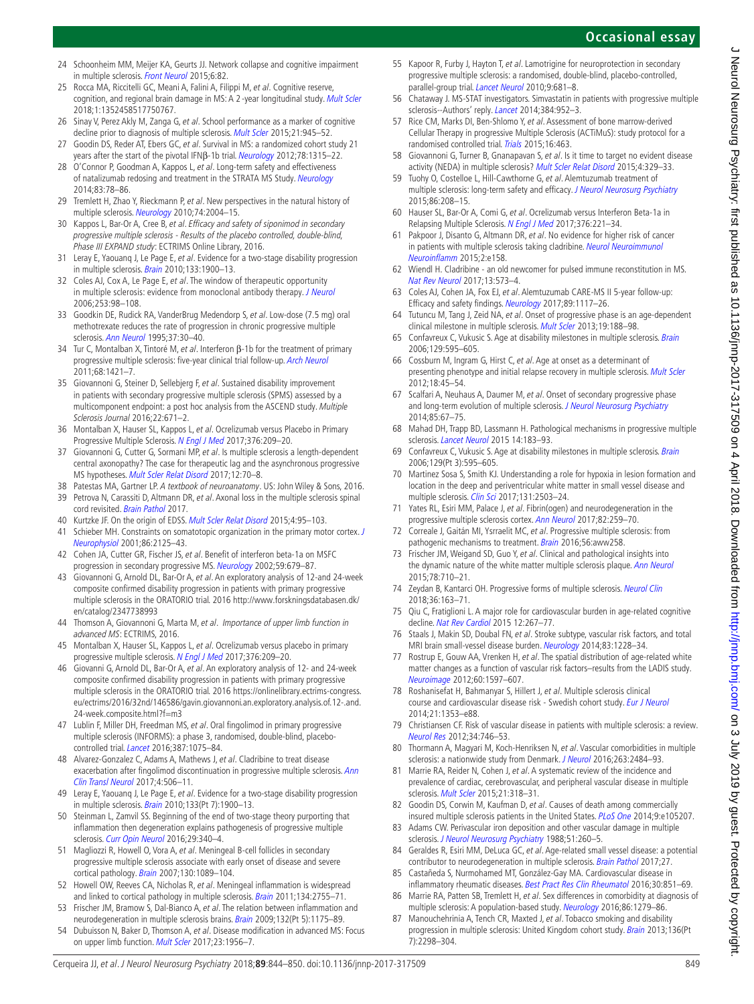- <span id="page-5-0"></span>24 Schoonheim MM, Meijer KA, Geurts JJ. Network collapse and cognitive impairment in multiple sclerosis. [Front Neurol](http://dx.doi.org/10.3389/fneur.2015.00082) 2015;6:82.
- <span id="page-5-1"></span>25 Rocca MA, Riccitelli GC, Meani A, Falini A, Filippi M, et al. Cognitive reserve, cognition, and regional brain damage in MS: A 2-year longitudinal study. [Mult Scler](http://dx.doi.org/10.1177/1352458517750767) 2018;1:1352458517750767.
- <span id="page-5-2"></span>26 Sinay V, Perez Akly M, Zanga G, et al. School performance as a marker of cognitive decline prior to diagnosis of multiple sclerosis. [Mult Scler](http://dx.doi.org/10.1177/1352458514554054) 2015;21:945-52.
- <span id="page-5-3"></span>27 Goodin DS, Reder AT, Ebers GC, et al. Survival in MS: a randomized cohort study 21 years after the start of the pivotal IFNβ-1b trial. [Neurology](http://dx.doi.org/10.1212/WNL.0b013e3182535cf6) 2012;78:1315–22.
- <span id="page-5-4"></span>28 O'Connor P, Goodman A, Kappos L, et al. Long-term safety and effectiveness of natalizumab redosing and treatment in the STRATA MS Study. [Neurology](http://dx.doi.org/10.1212/WNL.0000000000000541) 2014;83:78–86.
- <span id="page-5-5"></span>29 Tremlett H, Zhao Y, Rieckmann P, et al. New perspectives in the natural history of multiple sclerosis. [Neurology](http://dx.doi.org/10.1212/WNL.0b013e3181e3973f) 2010;74:2004-15.
- <span id="page-5-6"></span>30 Kappos L, Bar-Or A, Cree B, et al. Efficacy and safety of siponimod in secondary progressive multiple sclerosis - Results of the placebo controlled, double-blind, Phase III EXPAND study: ECTRIMS Online Library, 2016.
- <span id="page-5-7"></span>31 Leray E, Yaouang J, Le Page E, et al. Evidence for a two-stage disability progression in multiple sclerosis. [Brain](http://dx.doi.org/10.1093/brain/awq076) 2010;133:1900-13.
- <span id="page-5-8"></span>32 Coles AJ, Cox A, Le Page E, et al. The window of therapeutic opportunity in multiple sclerosis: evidence from monoclonal antibody therapy. [J Neurol](http://dx.doi.org/10.1007/s00415-005-0934-5) 2006;253:98–108.
- <span id="page-5-9"></span>33 Goodkin DE, Rudick RA, VanderBrug Medendorp S, et al. Low-dose (7.5 mg) oral methotrexate reduces the rate of progression in chronic progressive multiple sclerosis. [Ann Neurol](http://dx.doi.org/10.1002/ana.410370108) 1995;37:30–40.
- 34 Tur C, Montalban X, Tintoré M, et al. Interferon β-1b for the treatment of primary progressive multiple sclerosis: five-year clinical trial follow-up. [Arch Neurol](http://dx.doi.org/10.1001/archneurol.2011.241) 2011;68:1421–7.
- <span id="page-5-10"></span>35 Giovannoni G, Steiner D, Sellebjerg F, et al. Sustained disability improvement in patients with secondary progressive multiple sclerosis (SPMS) assessed by a multicomponent endpoint: a post hoc analysis from the ASCEND study. Multiple Sclerosis Journal 2016;22:671–2.
- 36 Montalban X, Hauser SL, Kappos L, et al. Ocrelizumab versus Placebo in Primary Progressive Multiple Sclerosis. [N Engl J Med](http://dx.doi.org/10.1056/NEJMoa1606468) 2017;376:209-20.
- <span id="page-5-11"></span>37 Giovannoni G, Cutter G, Sormani MP, et al. Is multiple sclerosis a length-dependent central axonopathy? The case for therapeutic lag and the asynchronous progressive MS hypotheses. [Mult Scler Relat Disord](http://dx.doi.org/10.1016/j.msard.2017.01.007) 2017;12:70–8.
- <span id="page-5-12"></span>38 Patestas MA, Gartner LP. A textbook of neuroanatomy. US: John Wiley & Sons, 2016.
- 39 Petrova N, Carassiti D, Altmann DR, et al. Axonal loss in the multiple sclerosis spinal cord revisited. [Brain Pathol](http://dx.doi.org/10.1111/bpa.12516) 2017.
- 40 Kurtzke JF. On the origin of EDSS. [Mult Scler Relat Disord](http://dx.doi.org/10.1016/j.msard.2015.02.003) 2015;4:95-103.
- 41 Schieber MH. Constraints on somatotopic organization in the primary motor cortex. J [Neurophysiol](http://dx.doi.org/10.1152/jn.2001.86.5.2125) 2001;86:2125–43.
- 42 Cohen JA, Cutter GR, Fischer JS, et al. Benefit of interferon beta-1a on MSFC progression in secondary progressive MS. [Neurology](http://dx.doi.org/10.1212/WNL.59.5.679) 2002;59:679–87.
- 43 Giovannoni G, Arnold DL, Bar-Or A, et al. An exploratory analysis of 12-and 24-week composite confirmed disability progression in patients with primary progressive multiple sclerosis in the ORATORIO trial. 2016 [http://www.forskningsdatabasen.dk/](http://www.forskningsdatabasen.dk/en/catalog/2347738993) [en/catalog/2347738993](http://www.forskningsdatabasen.dk/en/catalog/2347738993)
- <span id="page-5-13"></span>44 Thomson A, Giovannoni G, Marta M, et al. Importance of upper limb function in advanced MS: ECTRIMS, 2016.
- <span id="page-5-14"></span>45 Montalban X, Hauser SL, Kappos L, et al. Ocrelizumab versus placebo in primary progressive multiple sclerosis. [N Engl J Med](http://dx.doi.org/10.1056/NEJMoa1606468) 2017;376:209-20.
- <span id="page-5-15"></span>46 Giovanni G, Arnold DL, Bar-Or A, et al. An exploratory analysis of 12- and 24-week composite confirmed disability progression in patients with primary progressive multiple sclerosis in the ORATORIO trial. 2016 [https://onlinelibrary.ectrims-congress.](https://onlinelibrary.ectrims-congress.eu/ectrims/2016/32nd/146586/gavin.giovannoni.an.exploratory.analysis.of.12-.and.24-week.composite.html?f=m3) [eu/ectrims/2016/32nd/146586/gavin.giovannoni.an.exploratory.analysis.of.12-.and.](https://onlinelibrary.ectrims-congress.eu/ectrims/2016/32nd/146586/gavin.giovannoni.an.exploratory.analysis.of.12-.and.24-week.composite.html?f=m3) [24-week.composite.html?f=m3](https://onlinelibrary.ectrims-congress.eu/ectrims/2016/32nd/146586/gavin.giovannoni.an.exploratory.analysis.of.12-.and.24-week.composite.html?f=m3)
- <span id="page-5-16"></span>47 Lublin F, Miller DH, Freedman MS, et al. Oral fingolimod in primary progressive multiple sclerosis (INFORMS): a phase 3, randomised, double-blind, placebocontrolled trial. [Lancet](http://dx.doi.org/10.1016/S0140-6736(15)01314-8) 2016;387:1075–84.
- <span id="page-5-17"></span>48 Alvarez-Gonzalez C, Adams A, Mathews J, et al. Cladribine to treat disease exacerbation after fingolimod discontinuation in progressive multiple sclerosis. Ann [Clin Transl Neurol](http://dx.doi.org/10.1002/acn3.410) 2017;4:506–11.
- <span id="page-5-18"></span>49 Leray E, Yaouanq J, Le Page E, et al. Evidence for a two-stage disability progression in multiple sclerosis. [Brain](http://dx.doi.org/10.1093/brain/awq076) 2010;133(Pt 7):1900-13.
- <span id="page-5-19"></span>50 Steinman L, Zamvil SS. Beginning of the end of two-stage theory purporting that inflammation then degeneration explains pathogenesis of progressive multiple sclerosis. [Curr Opin Neurol](http://dx.doi.org/10.1097/WCO.0000000000000317) 2016;29:340-4.
- <span id="page-5-20"></span>51 Magliozzi R, Howell O, Vora A, et al. Meningeal B-cell follicles in secondary progressive multiple sclerosis associate with early onset of disease and severe cortical pathology. [Brain](http://dx.doi.org/10.1093/brain/awm038) 2007;130:1089-104.
- 52 Howell OW, Reeves CA, Nicholas R, et al. Meningeal inflammation is widespread and linked to cortical pathology in multiple sclerosis. [Brain](http://dx.doi.org/10.1093/brain/awr182) 2011;134:2755-71.
- <span id="page-5-30"></span>53 Frischer JM, Bramow S, Dal-Bianco A, et al. The relation between inflammation and neurodegeneration in multiple sclerosis brains. [Brain](http://dx.doi.org/10.1093/brain/awp070) 2009;132(Pt 5):1175-89.
- <span id="page-5-21"></span>54 Dubuisson N, Baker D, Thomson A, et al. Disease modification in advanced MS: Focus on upper limb function. [Mult Scler](http://dx.doi.org/10.1177/1352458517717811) 2017;23:1956-7.
- <span id="page-5-22"></span>55 Kapoor R, Furby J, Hayton T, et al. Lamotrigine for neuroprotection in secondary progressive multiple sclerosis: a randomised, double-blind, placebo-controlled, parallel-group trial. [Lancet Neurol](http://dx.doi.org/10.1016/S1474-4422(10)70131-9) 2010;9:681–8.
- 56 Chataway J. MS-STAT investigators. Simvastatin in patients with progressive multiple sclerosis--Authors' reply. [Lancet](http://dx.doi.org/10.1016/S0140-6736(14)61622-6) 2014:384:952-3.
- 57 Rice CM, Marks DI, Ben-Shlomo Y, et al. Assessment of bone marrow-derived Cellular Therapy in progressive Multiple Sclerosis (ACTiMuS): study protocol for a randomised controlled trial. [Trials](http://dx.doi.org/10.1186/s13063-015-0953-1) 2015;16:463.
- <span id="page-5-23"></span>58 Giovannoni G, Turner B, Gnanapavan S, et al. Is it time to target no evident disease activity (NEDA) in multiple sclerosis? [Mult Scler Relat Disord](http://dx.doi.org/10.1016/j.msard.2015.04.006) 2015;4:329-33.
- <span id="page-5-24"></span>59 Tuohy O, Costelloe L, Hill-Cawthorne G, et al. Alemtuzumab treatment of multiple sclerosis: long-term safety and efficacy. [J Neurol Neurosurg Psychiatry](http://dx.doi.org/10.1136/jnnp-2014-307721) 2015;86:208–15.
- <span id="page-5-25"></span>60 Hauser SL, Bar-Or A, Comi G, et al. Ocrelizumab versus Interferon Beta-1a in Relapsing Multiple Sclerosis. [N Engl J Med](http://dx.doi.org/10.1056/NEJMoa1601277) 2017;376:221-34.
- 61 Pakpoor J, Disanto G, Altmann DR, et al. No evidence for higher risk of cancer in patients with multiple sclerosis taking cladribine. Neurol Neuroimmunol [Neuroinflamm](http://dx.doi.org/10.1212/NXI.0000000000000158) 2015;2:e158.
- 62 Wiendl H. Cladribine an old newcomer for pulsed immune reconstitution in MS. [Nat Rev Neurol](http://dx.doi.org/10.1038/nrneurol.2017.119) 2017;13:573–4.
- 63 Coles AJ, Cohen JA, Fox EJ, et al. Alemtuzumab CARE-MS II 5-year follow-up: Efficacy and safety findings. [Neurology](http://dx.doi.org/10.1212/WNL.0000000000004354) 2017;89:1117-26.
- <span id="page-5-26"></span>64 Tutuncu M, Tang J, Zeid NA, et al. Onset of progressive phase is an age-dependent clinical milestone in multiple sclerosis. [Mult Scler](http://dx.doi.org/10.1177/1352458512451510) 2013;19:188-98.
- 65 Confavreux C, Vukusic S. Age at disability milestones in multiple sclerosis. [Brain](http://dx.doi.org/10.1093/brain/awh714) 2006;129:595–605.
- 66 Cossburn M, Ingram G, Hirst C, et al. Age at onset as a determinant of presenting phenotype and initial relapse recovery in multiple sclerosis. [Mult Scler](http://dx.doi.org/10.1177/1352458511417479) 2012;18:45–54.
- 67 Scalfari A, Neuhaus A, Daumer M, et al. Onset of secondary progressive phase and long-term evolution of multiple sclerosis. [J Neurol Neurosurg Psychiatry](http://dx.doi.org/10.1136/jnnp-2012-304333) 2014;85:67–75.
- <span id="page-5-27"></span>68 Mahad DH, Trapp BD, Lassmann H. Pathological mechanisms in progressive multiple sclerosis. [Lancet Neurol](http://dx.doi.org/10.1016/S1474-4422(14)70256-X) 2015 14:183-93.
- 69 Confavreux C, Vukusic S. Age at disability milestones in multiple sclerosis. [Brain](http://dx.doi.org/10.1093/brain/awh714) 2006;129(Pt 3):595–605.
- <span id="page-5-28"></span>70 Martinez Sosa S, Smith KJ. Understanding a role for hypoxia in lesion formation and location in the deep and periventricular white matter in small vessel disease and multiple sclerosis. [Clin Sci](http://dx.doi.org/10.1042/CS20170981) 2017;131:2503-24.
- <span id="page-5-29"></span>71 Yates RL, Esiri MM, Palace J, et al. Fibrin(ogen) and neurodegeneration in the progressive multiple sclerosis cortex. [Ann Neurol](http://dx.doi.org/10.1002/ana.24997) 2017;82:259-70.
- 72 Correale J, Gaitán MI, Ysrraelit MC, et al. Progressive multiple sclerosis: from pathogenic mechanisms to treatment. [Brain](http://dx.doi.org/10.1093/brain/aww258) 2016;56:aww258.
- 73 Frischer JM, Weigand SD, Guo Y, et al. Clinical and pathological insights into the dynamic nature of the white matter multiple sclerosis plaque. [Ann Neurol](http://dx.doi.org/10.1002/ana.24497) 2015;78:710–21.
- <span id="page-5-31"></span>74 Zeydan B, Kantarci OH. Progressive forms of multiple sclerosis. [Neurol Clin](http://dx.doi.org/10.1016/j.ncl.2017.08.006) 2018;36:163–71.
- <span id="page-5-32"></span>75 Qiu C, Fratiglioni L. A major role for cardiovascular burden in age-related cognitive decline. [Nat Rev Cardiol](http://dx.doi.org/10.1038/nrcardio.2014.223) 2015 12:267–77.
- <span id="page-5-33"></span>76 Staals J, Makin SD, Doubal FN, et al. Stroke subtype, vascular risk factors, and total MRI brain small-vessel disease burden. [Neurology](http://dx.doi.org/10.1212/WNL.0000000000000837) 2014;83:1228–34.
- 77 Rostrup E, Gouw AA, Vrenken H, et al. The spatial distribution of age-related white matter changes as a function of vascular risk factors–results from the LADIS study. [Neuroimage](http://dx.doi.org/10.1016/j.neuroimage.2012.01.106) 2012;60:1597–607.
- <span id="page-5-34"></span>78 Roshanisefat H, Bahmanyar S, Hillert J, et al. Multiple sclerosis clinical course and cardiovascular disease risk - Swedish cohort study. [Eur J Neurol](http://dx.doi.org/10.1111/ene.12518) 2014;21:1353–e88.
- 79 Christiansen CF. Risk of vascular disease in patients with multiple sclerosis: a review. [Neurol Res](http://dx.doi.org/10.1179/1743132812Y.0000000051) 2012;34:746–53.
- <span id="page-5-36"></span>80 Thormann A, Magyari M, Koch-Henriksen N, et al. Vascular comorbidities in multiple sclerosis: a nationwide study from Denmark. [J Neurol](http://dx.doi.org/10.1007/s00415-016-8295-9) 2016;263:2484-93.
- 81 Marrie RA, Reider N, Cohen J, et al. A systematic review of the incidence and prevalence of cardiac, cerebrovascular, and peripheral vascular disease in multiple sclerosis. [Mult Scler](http://dx.doi.org/10.1177/1352458514564485) 2015;21:318–31.
- <span id="page-5-35"></span>82 Goodin DS, Corwin M, Kaufman D, et al. Causes of death among commercially insured multiple sclerosis patients in the United States. [PLoS One](http://dx.doi.org/10.1371/journal.pone.0105207) 2014;9:e105207.
- 83 Adams CW. Perivascular iron deposition and other vascular damage in multiple
- <span id="page-5-37"></span>sclerosis. [J Neurol Neurosurg Psychiatry](http://dx.doi.org/10.1136/jnnp.51.2.260) 1988;51:260-5. 84 Geraldes R, Esiri MM, DeLuca GC, et al. Age-related small vessel disease: a potential
- contributor to neurodegeneration in multiple sclerosis. [Brain Pathol](http://dx.doi.org/10.1111/bpa.12460) 2017;27. 85 Castañeda S, Nurmohamed MT, González-Gay MA. Cardiovascular disease in
- <span id="page-5-38"></span>inflammatory rheumatic diseases. [Best Pract Res Clin Rheumatol](http://dx.doi.org/10.1016/j.berh.2016.10.006) 2016;30:851–69. Marrie RA, Patten SB, Tremlett H, et al. Sex differences in comorbidity at diagnosis of
- <span id="page-5-39"></span>multiple sclerosis: A population-based study. [Neurology](http://dx.doi.org/10.1212/WNL.0000000000002481) 2016;86:1279-86.
- <span id="page-5-40"></span>87 Manouchehrinia A, Tench CR, Maxted J, et al. Tobacco smoking and disability progression in multiple sclerosis: United Kingdom cohort study. [Brain](http://dx.doi.org/10.1093/brain/awt139) 2013;136(Pt 7):2298–304.